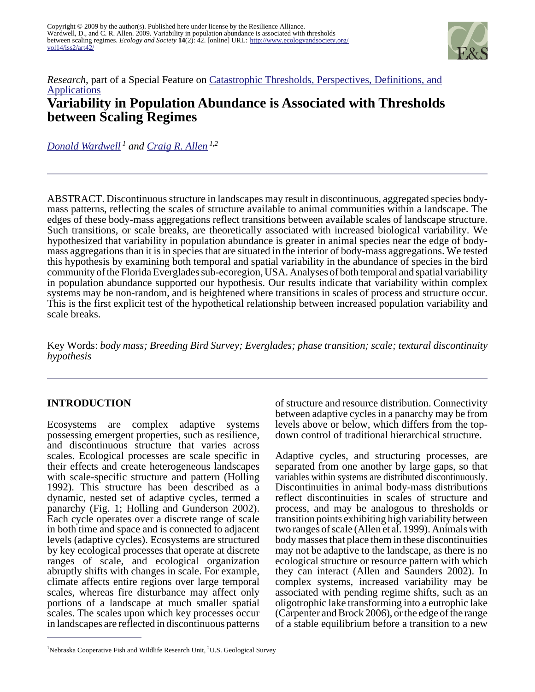

## *Research*, part of a Special Feature on [Catastrophic Thresholds, Perspectives, Definitions, and](http://www.ecologyandsociety.org/viewissue.php?sf=30) **[Applications](http://www.ecologyandsociety.org/viewissue.php?sf=30) Variability in Population Abundance is Associated with Thresholds between Scaling Regimes**

*[Donald Wardwell](mailto:don_wardwell@hotmail.com)<sup>1</sup> and [Craig R. Allen](mailto:allencr@unl.edu) 1,2*

ABSTRACT. Discontinuous structure in landscapes may result in discontinuous, aggregated species bodymass patterns, reflecting the scales of structure available to animal communities within a landscape. The edges of these body-mass aggregations reflect transitions between available scales of landscape structure. Such transitions, or scale breaks, are theoretically associated with increased biological variability. We hypothesized that variability in population abundance is greater in animal species near the edge of bodymass aggregations than it is in species that are situated in the interior of body-mass aggregations. We tested this hypothesis by examining both temporal and spatial variability in the abundance of species in the bird community of the Florida Everglades sub-ecoregion, USA. Analyses of both temporal and spatial variability in population abundance supported our hypothesis. Our results indicate that variability within complex systems may be non-random, and is heightened where transitions in scales of process and structure occur. This is the first explicit test of the hypothetical relationship between increased population variability and scale breaks.

Key Words: *body mass; Breeding Bird Survey; Everglades; phase transition; scale; textural discontinuity hypothesis*

## **INTRODUCTION**

Ecosystems are complex adaptive systems possessing emergent properties, such as resilience, and discontinuous structure that varies across scales. Ecological processes are scale specific in their effects and create heterogeneous landscapes with scale-specific structure and pattern (Holling 1992). This structure has been described as a dynamic, nested set of adaptive cycles, termed a panarchy (Fig. 1; Holling and Gunderson 2002). Each cycle operates over a discrete range of scale in both time and space and is connected to adjacent levels (adaptive cycles). Ecosystems are structured by key ecological processes that operate at discrete ranges of scale, and ecological organization abruptly shifts with changes in scale. For example, climate affects entire regions over large temporal scales, whereas fire disturbance may affect only portions of a landscape at much smaller spatial scales. The scales upon which key processes occur in landscapes are reflected in discontinuous patterns

of structure and resource distribution. Connectivity between adaptive cycles in a panarchy may be from levels above or below, which differs from the topdown control of traditional hierarchical structure.

Adaptive cycles, and structuring processes, are separated from one another by large gaps, so that variables within systems are distributed discontinuously. Discontinuities in animal body-mass distributions reflect discontinuities in scales of structure and process, and may be analogous to thresholds or transition points exhibiting high variability between two ranges of scale (Allen et al. 1999). Animals with body masses that place them in these discontinuities may not be adaptive to the landscape, as there is no ecological structure or resource pattern with which they can interact (Allen and Saunders 2002). In complex systems, increased variability may be associated with pending regime shifts, such as an oligotrophic lake transforming into a eutrophic lake (Carpenter and Brock 2006), or the edge of the range of a stable equilibrium before a transition to a new

 $1$ Nebraska Cooperative Fish and Wildlife Research Unit,  $2^{\circ}$ U.S. Geological Survey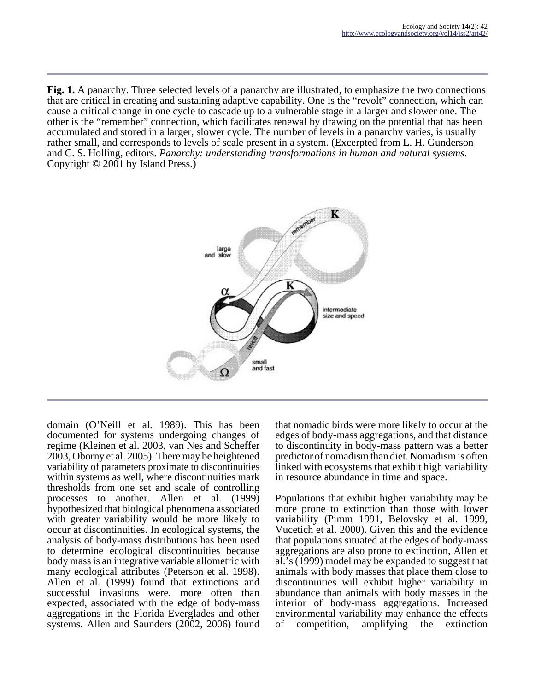**Fig. 1.** A panarchy. Three selected levels of a panarchy are illustrated, to emphasize the two connections that are critical in creating and sustaining adaptive capability. One is the "revolt" connection, which can cause a critical change in one cycle to cascade up to a vulnerable stage in a larger and slower one. The other is the "remember" connection, which facilitates renewal by drawing on the potential that has been accumulated and stored in a larger, slower cycle. The number of levels in a panarchy varies, is usually rather small, and corresponds to levels of scale present in a system. (Excerpted from L. H. Gunderson and C. S. Holling, editors. *Panarchy: understanding transformations in human and natural systems.* Copyright © 2001 by Island Press.)



domain (O'Neill et al. 1989). This has been documented for systems undergoing changes of regime (Kleinen et al. 2003, van Nes and Scheffer 2003, Oborny et al. 2005). There may be heightened variability of parameters proximate to discontinuities within systems as well, where discontinuities mark thresholds from one set and scale of controlling processes to another. Allen et al. (1999) hypothesized that biological phenomena associated with greater variability would be more likely to occur at discontinuities. In ecological systems, the analysis of body-mass distributions has been used to determine ecological discontinuities because body mass is an integrative variable allometric with many ecological attributes (Peterson et al. 1998). Allen et al. (1999) found that extinctions and successful invasions were, more often than expected, associated with the edge of body-mass aggregations in the Florida Everglades and other systems. Allen and Saunders (2002, 2006) found

that nomadic birds were more likely to occur at the edges of body-mass aggregations, and that distance to discontinuity in body-mass pattern was a better predictor of nomadism than diet. Nomadism is often linked with ecosystems that exhibit high variability in resource abundance in time and space.

Populations that exhibit higher variability may be more prone to extinction than those with lower variability (Pimm 1991, Belovsky et al. 1999, Vucetich et al. 2000). Given this and the evidence that populations situated at the edges of body-mass aggregations are also prone to extinction, Allen et al.'s (1999) model may be expanded to suggest that animals with body masses that place them close to discontinuities will exhibit higher variability in abundance than animals with body masses in the interior of body-mass aggregations. Increased environmental variability may enhance the effects of competition, amplifying the extinction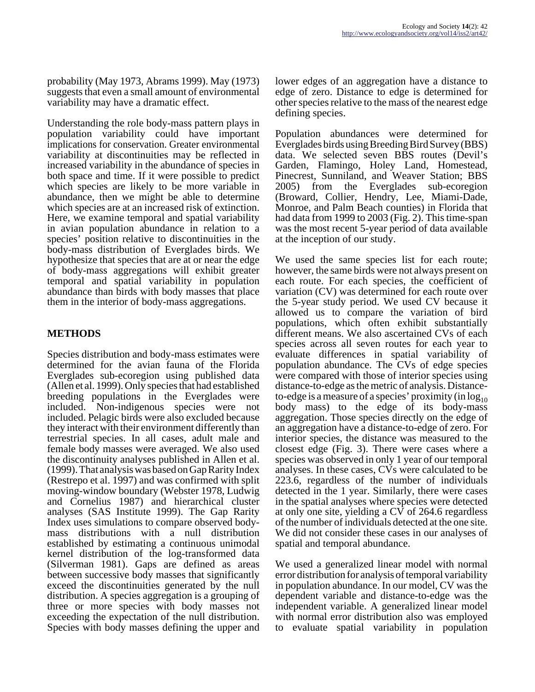probability (May 1973, Abrams 1999). May (1973) suggests that even a small amount of environmental variability may have a dramatic effect.

Understanding the role body-mass pattern plays in population variability could have important implications for conservation. Greater environmental variability at discontinuities may be reflected in increased variability in the abundance of species in both space and time. If it were possible to predict which species are likely to be more variable in abundance, then we might be able to determine which species are at an increased risk of extinction. Here, we examine temporal and spatial variability in avian population abundance in relation to a species' position relative to discontinuities in the body-mass distribution of Everglades birds. We hypothesize that species that are at or near the edge of body-mass aggregations will exhibit greater temporal and spatial variability in population abundance than birds with body masses that place them in the interior of body-mass aggregations.

### **METHODS**

Species distribution and body-mass estimates were determined for the avian fauna of the Florida Everglades sub-ecoregion using published data (Allen et al. 1999). Only species that had established breeding populations in the Everglades were included. Non-indigenous species were not included. Pelagic birds were also excluded because they interact with their environment differently than terrestrial species. In all cases, adult male and female body masses were averaged. We also used the discontinuity analyses published in Allen et al. (1999). That analysis was based on Gap Rarity Index (Restrepo et al. 1997) and was confirmed with split moving-window boundary (Webster 1978, Ludwig and Cornelius 1987) and hierarchical cluster analyses (SAS Institute 1999). The Gap Rarity Index uses simulations to compare observed bodymass distributions with a null distribution established by estimating a continuous unimodal kernel distribution of the log-transformed data (Silverman 1981). Gaps are defined as areas between successive body masses that significantly exceed the discontinuities generated by the null distribution. A species aggregation is a grouping of three or more species with body masses not exceeding the expectation of the null distribution. Species with body masses defining the upper and

lower edges of an aggregation have a distance to edge of zero. Distance to edge is determined for other species relative to the mass of the nearest edge defining species.

Population abundances were determined for Everglades birds using Breeding Bird Survey (BBS) data. We selected seven BBS routes (Devil's Garden, Flamingo, Holey Land, Homestead, Pinecrest, Sunniland, and Weaver Station; BBS 2005) from the Everglades sub-ecoregion (Broward, Collier, Hendry, Lee, Miami-Dade, Monroe, and Palm Beach counties) in Florida that had data from 1999 to 2003 (Fig. 2). This time-span was the most recent 5-year period of data available at the inception of our study.

We used the same species list for each route; however, the same birds were not always present on each route. For each species, the coefficient of variation (CV) was determined for each route over the 5-year study period. We used CV because it allowed us to compare the variation of bird populations, which often exhibit substantially different means. We also ascertained CVs of each species across all seven routes for each year to evaluate differences in spatial variability of population abundance. The CVs of edge species were compared with those of interior species using distance-to-edge as the metric of analysis. Distanceto-edge is a measure of a species' proximity (in  $log_{10}$ ) body mass) to the edge of its body-mass aggregation. Those species directly on the edge of an aggregation have a distance-to-edge of zero. For interior species, the distance was measured to the closest edge (Fig. 3). There were cases where a species was observed in only 1 year of our temporal analyses. In these cases, CVs were calculated to be 223.6, regardless of the number of individuals detected in the 1 year. Similarly, there were cases in the spatial analyses where species were detected at only one site, yielding a CV of 264.6 regardless of the number of individuals detected at the one site. We did not consider these cases in our analyses of spatial and temporal abundance.

We used a generalized linear model with normal error distribution for analysis of temporal variability in population abundance. In our model, CV was the dependent variable and distance-to-edge was the independent variable. A generalized linear model with normal error distribution also was employed to evaluate spatial variability in population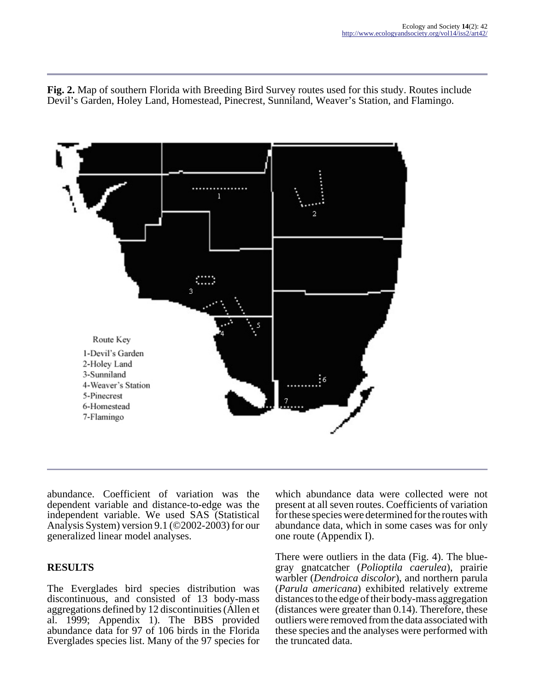**Fig. 2.** Map of southern Florida with Breeding Bird Survey routes used for this study. Routes include Devil's Garden, Holey Land, Homestead, Pinecrest, Sunniland, Weaver's Station, and Flamingo.



abundance. Coefficient of variation was the dependent variable and distance-to-edge was the independent variable. We used SAS (Statistical Analysis System) version 9.1 (©2002-2003) for our generalized linear model analyses.

#### **RESULTS**

The Everglades bird species distribution was discontinuous, and consisted of 13 body-mass aggregations defined by 12 discontinuities (Allen et al. 1999; Appendix 1). The BBS provided abundance data for 97 of 106 birds in the Florida Everglades species list. Many of the 97 species for

which abundance data were collected were not present at all seven routes. Coefficients of variation for these species were determined for the routes with abundance data, which in some cases was for only one route (Appendix I).

There were outliers in the data (Fig. 4). The bluegray gnatcatcher (*Polioptila caerulea*), prairie warbler (*Dendroica discolor*), and northern parula (*Parula americana*) exhibited relatively extreme distances to the edge of their body-mass aggregation (distances were greater than 0.14). Therefore, these outliers were removed from the data associated with these species and the analyses were performed with the truncated data.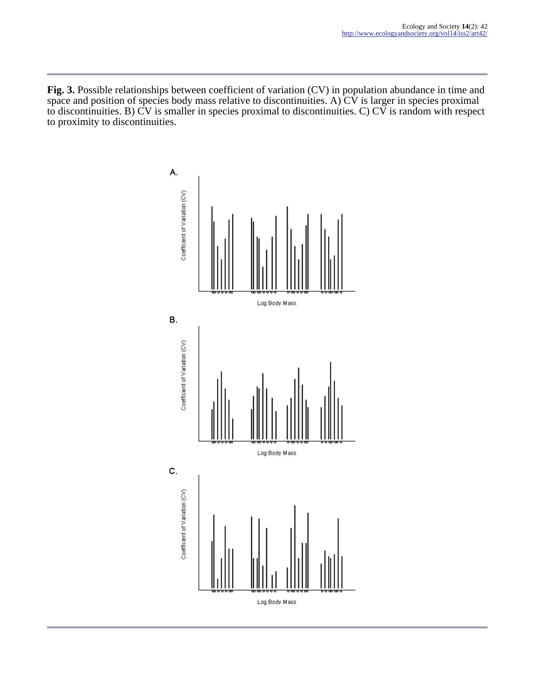**Fig. 3.** Possible relationships between coefficient of variation (CV) in population abundance in time and space and position of species body mass relative to discontinuities. A) CV is larger in species proximal to discontinuities. B) CV is smaller in species proximal to discontinuities. C) CV is random with respect to proximity to discontinuities.

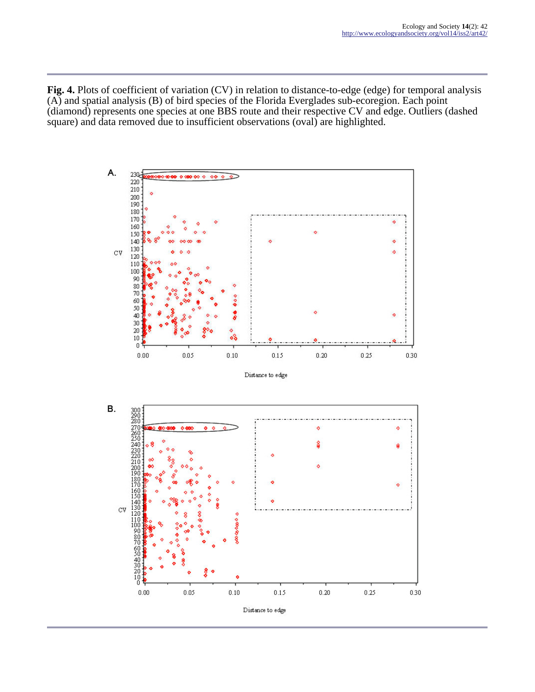**Fig. 4.** Plots of coefficient of variation (CV) in relation to distance-to-edge (edge) for temporal analysis (A) and spatial analysis (B) of bird species of the Florida Everglades sub-ecoregion. Each point (diamond) represents one species at one BBS route and their respective CV and edge. Outliers (dashed square) and data removed due to insufficient observations (oval) are highlighted.

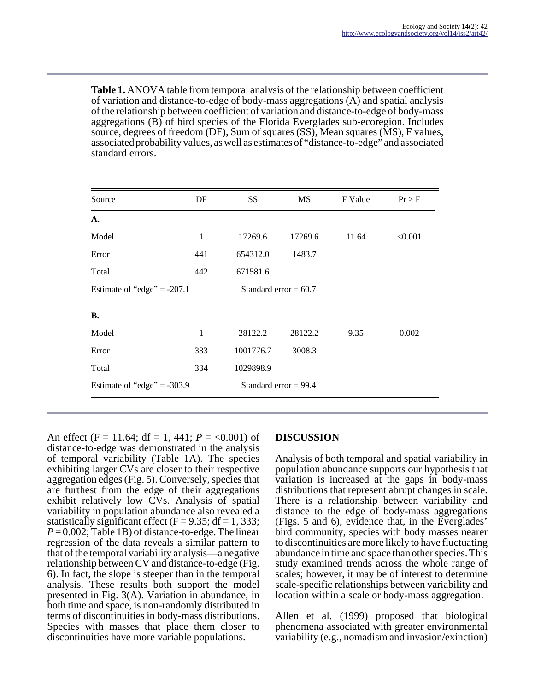**Table 1.** ANOVA table from temporal analysis of the relationship between coefficient of variation and distance-to-edge of body-mass aggregations (A) and spatial analysis of the relationship between coefficient of variation and distance-to-edge of body-mass aggregations (B) of bird species of the Florida Everglades sub-ecoregion. Includes source, degrees of freedom (DF), Sum of squares (SS), Mean squares (MS), F values, associated probability values, as well as estimates of "distance-to-edge" and associated standard errors.

| Source                        | DF  | SS                      | <b>MS</b> | F Value | Pr > F  |
|-------------------------------|-----|-------------------------|-----------|---------|---------|
| $\mathbf{A}$ .                |     |                         |           |         |         |
| Model                         | 1   | 17269.6                 | 17269.6   | 11.64   | < 0.001 |
| Error                         | 441 | 654312.0                | 1483.7    |         |         |
| Total                         | 442 | 671581.6                |           |         |         |
| Estimate of "edge" = $-207.1$ |     | Standard error $= 60.7$ |           |         |         |
| В.                            |     |                         |           |         |         |
| Model                         | 1   | 28122.2                 | 28122.2   | 9.35    | 0.002   |
| Error                         | 333 | 1001776.7               | 3008.3    |         |         |
| Total                         | 334 | 1029898.9               |           |         |         |
| Estimate of "edge" = $-303.9$ |     | Standard error $= 99.4$ |           |         |         |

An effect (F = 11.64; df = 1, 441;  $P = 0.001$ ) of distance-to-edge was demonstrated in the analysis of temporal variability (Table 1A). The species exhibiting larger CVs are closer to their respective aggregation edges (Fig. 5). Conversely, species that are furthest from the edge of their aggregations exhibit relatively low CVs. Analysis of spatial variability in population abundance also revealed a statistically significant effect ( $F = 9.35$ ; df = 1, 333;  $P = 0.002$ ; Table 1B) of distance-to-edge. The linear regression of the data reveals a similar pattern to that of the temporal variability analysis—a negative relationship between CV and distance-to-edge (Fig. 6). In fact, the slope is steeper than in the temporal analysis. These results both support the model presented in Fig. 3(A). Variation in abundance, in both time and space, is non-randomly distributed in terms of discontinuities in body-mass distributions. Species with masses that place them closer to discontinuities have more variable populations.

# **DISCUSSION**

Analysis of both temporal and spatial variability in population abundance supports our hypothesis that variation is increased at the gaps in body-mass distributions that represent abrupt changes in scale. There is a relationship between variability and distance to the edge of body-mass aggregations (Figs. 5 and 6), evidence that, in the Everglades' bird community, species with body masses nearer to discontinuities are more likely to have fluctuating abundance in time and space than other species. This study examined trends across the whole range of scales; however, it may be of interest to determine scale-specific relationships between variability and location within a scale or body-mass aggregation.

Allen et al. (1999) proposed that biological phenomena associated with greater environmental variability (e.g., nomadism and invasion/exinction)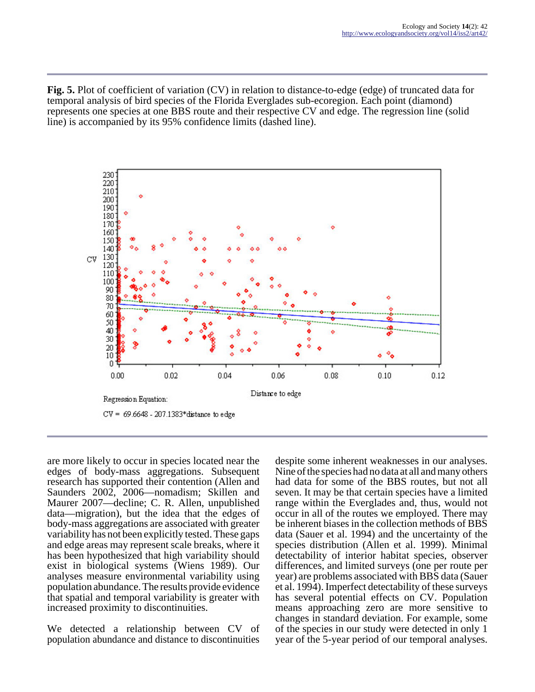**Fig. 5.** Plot of coefficient of variation (CV) in relation to distance-to-edge (edge) of truncated data for temporal analysis of bird species of the Florida Everglades sub-ecoregion. Each point (diamond) represents one species at one BBS route and their respective CV and edge. The regression line (solid line) is accompanied by its 95% confidence limits (dashed line).



are more likely to occur in species located near the edges of body-mass aggregations. Subsequent research has supported their contention (Allen and Saunders 2002, 2006—nomadism; Skillen and Maurer 2007—decline; C. R. Allen, unpublished data—migration), but the idea that the edges of body-mass aggregations are associated with greater variability has not been explicitly tested. These gaps and edge areas may represent scale breaks, where it has been hypothesized that high variability should exist in biological systems (Wiens 1989). Our analyses measure environmental variability using population abundance. The results provide evidence that spatial and temporal variability is greater with increased proximity to discontinuities.

We detected a relationship between CV of population abundance and distance to discontinuities despite some inherent weaknesses in our analyses. Nine of the species had no data at all and many others had data for some of the BBS routes, but not all seven. It may be that certain species have a limited range within the Everglades and, thus, would not occur in all of the routes we employed. There may be inherent biases in the collection methods of BBS data (Sauer et al. 1994) and the uncertainty of the species distribution (Allen et al. 1999). Minimal detectability of interior habitat species, observer differences, and limited surveys (one per route per year) are problems associated with BBS data (Sauer et al. 1994). Imperfect detectability of these surveys has several potential effects on CV. Population means approaching zero are more sensitive to changes in standard deviation. For example, some of the species in our study were detected in only 1 year of the 5-year period of our temporal analyses.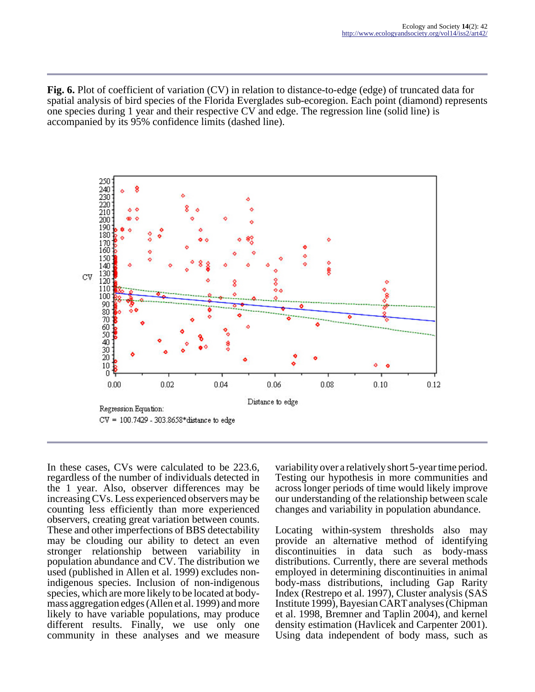**Fig. 6.** Plot of coefficient of variation (CV) in relation to distance-to-edge (edge) of truncated data for spatial analysis of bird species of the Florida Everglades sub-ecoregion. Each point (diamond) represents one species during 1 year and their respective CV and edge. The regression line (solid line) is accompanied by its 95% confidence limits (dashed line).



In these cases, CVs were calculated to be 223.6, regardless of the number of individuals detected in the 1 year. Also, observer differences may be increasing CVs. Less experienced observers may be counting less efficiently than more experienced observers, creating great variation between counts. These and other imperfections of BBS detectability may be clouding our ability to detect an even stronger relationship between variability in population abundance and CV. The distribution we used (published in Allen et al. 1999) excludes nonindigenous species. Inclusion of non-indigenous species, which are more likely to be located at bodymass aggregation edges (Allen et al. 1999) and more likely to have variable populations, may produce different results. Finally, we use only one community in these analyses and we measure

variability over a relatively short 5-year time period. Testing our hypothesis in more communities and across longer periods of time would likely improve our understanding of the relationship between scale changes and variability in population abundance.

Locating within-system thresholds also may provide an alternative method of identifying discontinuities in data such as body-mass distributions. Currently, there are several methods employed in determining discontinuities in animal body-mass distributions, including Gap Rarity Index (Restrepo et al. 1997), Cluster analysis (SAS Institute 1999), Bayesian CART analyses (Chipman et al. 1998, Bremner and Taplin 2004), and kernel density estimation (Havlicek and Carpenter 2001). Using data independent of body mass, such as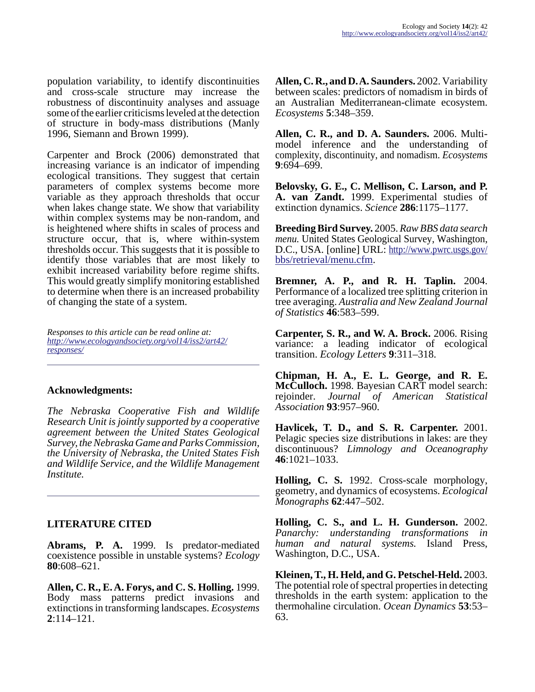population variability, to identify discontinuities and cross-scale structure may increase the robustness of discontinuity analyses and assuage some of the earlier criticisms leveled at the detection of structure in body-mass distributions (Manly 1996, Siemann and Brown 1999).

Carpenter and Brock (2006) demonstrated that increasing variance is an indicator of impending ecological transitions. They suggest that certain parameters of complex systems become more variable as they approach thresholds that occur when lakes change state. We show that variability within complex systems may be non-random, and is heightened where shifts in scales of process and structure occur, that is, where within-system thresholds occur. This suggests that it is possible to identify those variables that are most likely to exhibit increased variability before regime shifts. This would greatly simplify monitoring established to determine when there is an increased probability of changing the state of a system.

*Responses to this article can be read online at: [http://www](http://www.ecologyandsociety.org/vol14/iss2/art42/responses/).ecologyandsociety.org/vol14/iss2/art42/ responses/*

#### **Acknowledgments:**

*The Nebraska Cooperative Fish and Wildlife Research Unit is jointly supported by a cooperative agreement between the United States Geological Survey, the Nebraska Game and Parks Commission, the University of Nebraska, the United States Fish and Wildlife Service, and the Wildlife Management Institute.* 

## **LITERATURE CITED**

**Abrams, P. A.** 1999. Is predator-mediated coexistence possible in unstable systems? *Ecology* **80**:608–621.

**Allen, C. R., E. A. Forys, and C. S. Holling.** 1999. Body mass patterns predict invasions and extinctions in transforming landscapes. *Ecosystems* **2**:114–121.

**Allen, C. R., and D. A. Saunders.** 2002. Variability between scales: predictors of nomadism in birds of an Australian Mediterranean-climate ecosystem. *Ecosystems* **5**:348–359.

**Allen, C. R., and D. A. Saunders.** 2006. Multimodel inference and the understanding of complexity, discontinuity, and nomadism. *Ecosystems* **9**:694–699.

**Belovsky, G. E., C. Mellison, C. Larson, and P. A. van Zandt.** 1999. Experimental studies of extinction dynamics. *Science* **286**:1175–1177.

**Breeding Bird Survey.** 2005. *Raw BBS data search menu.* United States Geological Survey, Washington, D.C., USA. [online] URL: [http://www.pwrc.usgs.gov/](http://www.pwrc.usgs.gov/bbs/retrieval/menu.cfm) [bbs/retrieval/menu.cfm.](http://www.pwrc.usgs.gov/bbs/retrieval/menu.cfm)

**Bremner, A. P., and R. H. Taplin.** 2004. Performance of a localized tree splitting criterion in tree averaging. *Australia and New Zealand Journal of Statistics* **46**:583–599.

**Carpenter, S. R., and W. A. Brock.** 2006. Rising variance: a leading indicator of ecological transition. *Ecology Letters* **9**:311–318.

**Chipman, H. A., E. L. George, and R. E. McCulloch.** 1998. Bayesian CART model search: rejoinder. *Journal of American Statistical Association* **93**:957–960.

**Havlicek, T. D., and S. R. Carpenter.** 2001. Pelagic species size distributions in lakes: are they discontinuous? *Limnology and Oceanography* **46**:1021–1033.

**Holling, C. S.** 1992. Cross-scale morphology, geometry, and dynamics of ecosystems. *Ecological Monographs* **62**:447–502.

**Holling, C. S., and L. H. Gunderson.** 2002. *Panarchy: understanding transformations in human and natural systems.* Island Press, Washington, D.C., USA.

**Kleinen, T., H. Held, and G. Petschel-Held.** 2003. The potential role of spectral properties in detecting thresholds in the earth system: application to the thermohaline circulation. *Ocean Dynamics* **53**:53– 63.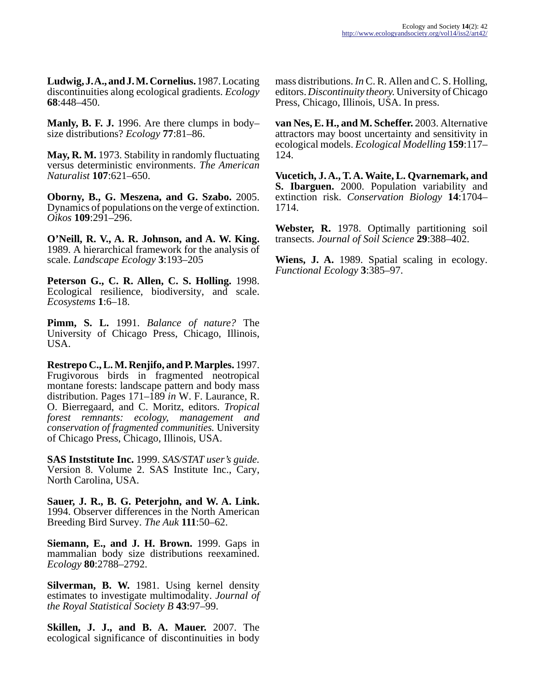**Ludwig, J. A., and J. M. Cornelius.** 1987. Locating discontinuities along ecological gradients. *Ecology* **68**:448–450.

**Manly, B. F. J.** 1996. Are there clumps in body– size distributions? *Ecology* **77**:81–86.

**May, R. M.** 1973. Stability in randomly fluctuating versus deterministic environments. *The American Naturalist* **107**:621–650.

**Oborny, B., G. Meszena, and G. Szabo.** 2005. Dynamics of populations on the verge of extinction. *Oikos* **109**:291–296.

**O'Neill, R. V., A. R. Johnson, and A. W. King.** 1989. A hierarchical framework for the analysis of scale. *Landscape Ecology* **3**:193–205

**Peterson G., C. R. Allen, C. S. Holling.** 1998. Ecological resilience, biodiversity, and scale. *Ecosystems* **1**:6–18.

**Pimm, S. L.** 1991. *Balance of nature?* The University of Chicago Press, Chicago, Illinois, USA.

**Restrepo C., L. M. Renjifo, and P. Marples.** 1997. Frugivorous birds in fragmented neotropical montane forests: landscape pattern and body mass distribution. Pages 171–189 *in* W. F. Laurance, R. O. Bierregaard, and C. Moritz, editors. *Tropical forest remnants: ecology, management and conservation of fragmented communities.* University of Chicago Press, Chicago, Illinois, USA.

**SAS Inststitute Inc.** 1999. *SAS/STAT user's guide.* Version 8. Volume 2. SAS Institute Inc., Cary, North Carolina, USA.

**Sauer, J. R., B. G. Peterjohn, and W. A. Link.** 1994. Observer differences in the North American Breeding Bird Survey. *The Auk* **111**:50–62.

**Siemann, E., and J. H. Brown.** 1999. Gaps in mammalian body size distributions reexamined. *Ecology* **80**:2788–2792.

**Silverman, B. W.** 1981. Using kernel density estimates to investigate multimodality. *Journal of the Royal Statistical Society B* **43**:97–99.

**Skillen, J. J., and B. A. Mauer.** 2007. The ecological significance of discontinuities in body mass distributions. *In* C. R. Allen and C. S. Holling, editors. *Discontinuity theory.* University of Chicago Press, Chicago, Illinois, USA. In press.

**van Nes, E. H., and M. Scheffer.** 2003. Alternative attractors may boost uncertainty and sensitivity in ecological models. *Ecological Modelling* **159**:117– 124.

**Vucetich, J. A., T. A. Waite, L. Qvarnemark, and S. Ibarguen.** 2000. Population variability and extinction risk. *Conservation Biology* **14**:1704– 1714.

**Webster, R.** 1978. Optimally partitioning soil transects. *Journal of Soil Science* **29**:388–402.

**Wiens, J. A.** 1989. Spatial scaling in ecology. *Functional Ecology* **3**:385–97.